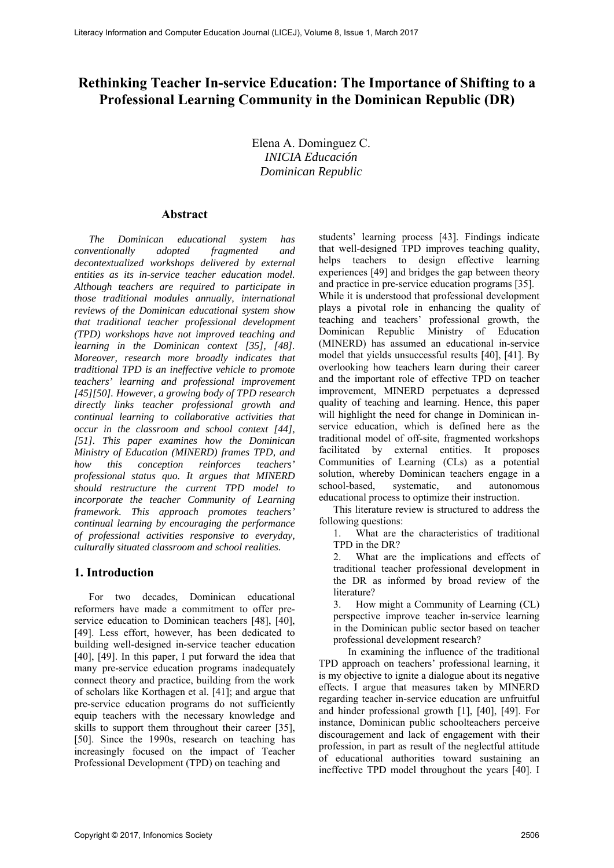# **Rethinking Teacher In-service Education: The Importance of Shifting to a Professional Learning Community in the Dominican Republic (DR)**

Elena A. Dominguez C. *INICIA Educación Dominican Republic* 

### **Abstract**

*The Dominican educational system has conventionally adopted fragmented and decontextualized workshops delivered by external entities as its in-service teacher education model. Although teachers are required to participate in those traditional modules annually, international reviews of the Dominican educational system show that traditional teacher professional development (TPD) workshops have not improved teaching and learning in the Dominican context [35], [48]. Moreover, research more broadly indicates that traditional TPD is an ineffective vehicle to promote teachers' learning and professional improvement [45][50]. However, a growing body of TPD research directly links teacher professional growth and continual learning to collaborative activities that occur in the classroom and school context [44], [51]. This paper examines how the Dominican Ministry of Education (MINERD) frames TPD, and how this conception reinforces teachers' professional status quo. It argues that MINERD should restructure the current TPD model to incorporate the teacher Community of Learning framework. This approach promotes teachers' continual learning by encouraging the performance of professional activities responsive to everyday, culturally situated classroom and school realities.* 

#### **1. Introduction**

For two decades, Dominican educational reformers have made a commitment to offer preservice education to Dominican teachers [48], [40], [49]. Less effort, however, has been dedicated to building well-designed in-service teacher education [40], [49]. In this paper, I put forward the idea that many pre-service education programs inadequately connect theory and practice, building from the work of scholars like Korthagen et al. [41]; and argue that pre-service education programs do not sufficiently equip teachers with the necessary knowledge and skills to support them throughout their career [35], [50]. Since the 1990s, research on teaching has increasingly focused on the impact of Teacher Professional Development (TPD) on teaching and

students' learning process [43]. Findings indicate that well-designed TPD improves teaching quality, helps teachers to design effective learning experiences [49] and bridges the gap between theory and practice in pre-service education programs [35]. While it is understood that professional development plays a pivotal role in enhancing the quality of teaching and teachers' professional growth, the Dominican Republic Ministry of Education (MINERD) has assumed an educational in-service model that yields unsuccessful results [40], [41]. By overlooking how teachers learn during their career and the important role of effective TPD on teacher improvement, MINERD perpetuates a depressed quality of teaching and learning. Hence, this paper will highlight the need for change in Dominican inservice education, which is defined here as the traditional model of off-site, fragmented workshops facilitated by external entities. It proposes Communities of Learning (CLs) as a potential solution, whereby Dominican teachers engage in a school-based, systematic, and autonomous educational process to optimize their instruction.

This literature review is structured to address the following questions:

1. What are the characteristics of traditional TPD in the DR?

2. What are the implications and effects of traditional teacher professional development in the DR as informed by broad review of the literature?

3. How might a Community of Learning (CL) perspective improve teacher in-service learning in the Dominican public sector based on teacher professional development research?

In examining the influence of the traditional TPD approach on teachers' professional learning, it is my objective to ignite a dialogue about its negative effects. I argue that measures taken by MINERD regarding teacher in-service education are unfruitful and hinder professional growth [1], [40], [49]. For instance, Dominican public schoolteachers perceive discouragement and lack of engagement with their profession, in part as result of the neglectful attitude of educational authorities toward sustaining an ineffective TPD model throughout the years [40]. I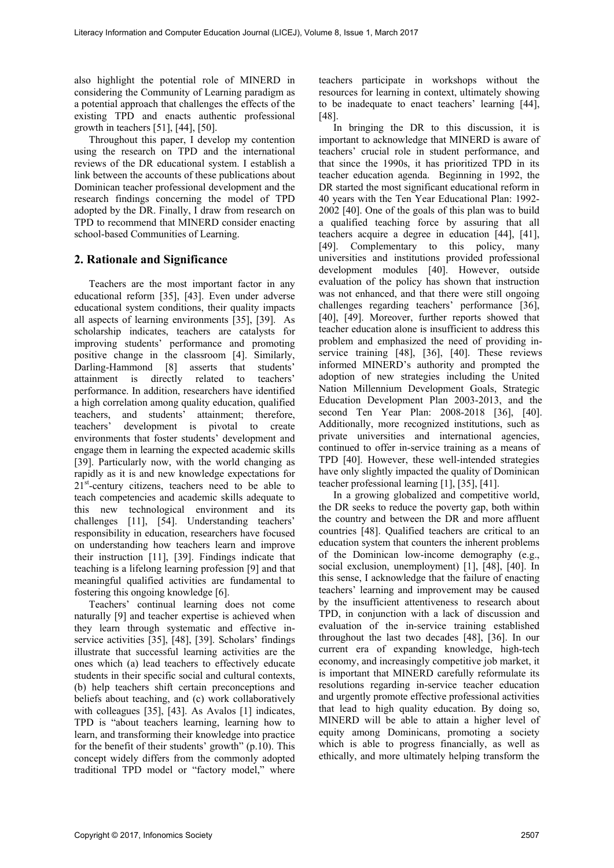also highlight the potential role of MINERD in considering the Community of Learning paradigm as a potential approach that challenges the effects of the existing TPD and enacts authentic professional growth in teachers [51], [44], [50].

Throughout this paper, I develop my contention using the research on TPD and the international reviews of the DR educational system. I establish a link between the accounts of these publications about Dominican teacher professional development and the research findings concerning the model of TPD adopted by the DR. Finally, I draw from research on TPD to recommend that MINERD consider enacting school-based Communities of Learning.

### **2. Rationale and Significance**

Teachers are the most important factor in any educational reform [35], [43]. Even under adverse educational system conditions, their quality impacts all aspects of learning environments [35], [39]. As scholarship indicates, teachers are catalysts for improving students' performance and promoting positive change in the classroom [4]. Similarly, Darling-Hammond [8] asserts that students' attainment is directly related to teachers' performance. In addition, researchers have identified a high correlation among quality education, qualified teachers, and students' attainment; therefore, teachers' development is pivotal to create environments that foster students' development and engage them in learning the expected academic skills [39]. Particularly now, with the world changing as rapidly as it is and new knowledge expectations for  $21<sup>st</sup>$ -century citizens, teachers need to be able to teach competencies and academic skills adequate to this new technological environment and its challenges [11], [54]. Understanding teachers' responsibility in education, researchers have focused on understanding how teachers learn and improve their instruction [11], [39]. Findings indicate that teaching is a lifelong learning profession [9] and that meaningful qualified activities are fundamental to fostering this ongoing knowledge [6].

Teachers' continual learning does not come naturally [9] and teacher expertise is achieved when they learn through systematic and effective inservice activities [35], [48], [39]. Scholars' findings illustrate that successful learning activities are the ones which (a) lead teachers to effectively educate students in their specific social and cultural contexts, (b) help teachers shift certain preconceptions and beliefs about teaching, and (c) work collaboratively with colleagues [35], [43]. As Avalos [1] indicates, TPD is "about teachers learning, learning how to learn, and transforming their knowledge into practice for the benefit of their students' growth" (p.10). This concept widely differs from the commonly adopted traditional TPD model or "factory model," where

teachers participate in workshops without the resources for learning in context, ultimately showing to be inadequate to enact teachers' learning [44], [48].

In bringing the DR to this discussion, it is important to acknowledge that MINERD is aware of teachers' crucial role in student performance, and that since the 1990s, it has prioritized TPD in its teacher education agenda. Beginning in 1992, the DR started the most significant educational reform in 40 years with the Ten Year Educational Plan: 1992- 2002 [40]. One of the goals of this plan was to build a qualified teaching force by assuring that all teachers acquire a degree in education [44], [41], [49]. Complementary to this policy, many universities and institutions provided professional development modules [40]. However, outside evaluation of the policy has shown that instruction was not enhanced, and that there were still ongoing challenges regarding teachers' performance [36], [40], [49]. Moreover, further reports showed that teacher education alone is insufficient to address this problem and emphasized the need of providing inservice training [48], [36], [40]. These reviews informed MINERD's authority and prompted the adoption of new strategies including the United Nation Millennium Development Goals, Strategic Education Development Plan 2003-2013, and the second Ten Year Plan: 2008-2018 [36], [40]. Additionally, more recognized institutions, such as private universities and international agencies, continued to offer in-service training as a means of TPD [40]. However, these well-intended strategies have only slightly impacted the quality of Dominican teacher professional learning [1], [35], [41].

In a growing globalized and competitive world, the DR seeks to reduce the poverty gap, both within the country and between the DR and more affluent countries [48]. Qualified teachers are critical to an education system that counters the inherent problems of the Dominican low-income demography (e.g., social exclusion, unemployment) [1], [48], [40]. In this sense, I acknowledge that the failure of enacting teachers' learning and improvement may be caused by the insufficient attentiveness to research about TPD, in conjunction with a lack of discussion and evaluation of the in-service training established throughout the last two decades [48], [36]. In our current era of expanding knowledge, high-tech economy, and increasingly competitive job market, it is important that MINERD carefully reformulate its resolutions regarding in-service teacher education and urgently promote effective professional activities that lead to high quality education. By doing so, MINERD will be able to attain a higher level of equity among Dominicans, promoting a society which is able to progress financially, as well as ethically, and more ultimately helping transform the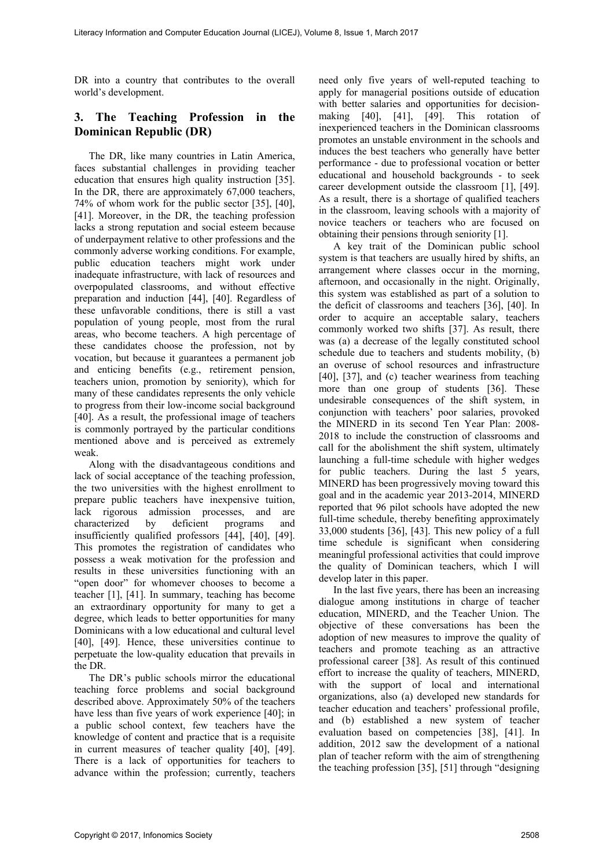DR into a country that contributes to the overall world's development.

# **3. The Teaching Profession in the Dominican Republic (DR)**

The DR, like many countries in Latin America, faces substantial challenges in providing teacher education that ensures high quality instruction [35]. In the DR, there are approximately 67,000 teachers, 74% of whom work for the public sector [35], [40], [41]. Moreover, in the DR, the teaching profession lacks a strong reputation and social esteem because of underpayment relative to other professions and the commonly adverse working conditions. For example, public education teachers might work under inadequate infrastructure, with lack of resources and overpopulated classrooms, and without effective preparation and induction [44], [40]. Regardless of these unfavorable conditions, there is still a vast population of young people, most from the rural areas, who become teachers. A high percentage of these candidates choose the profession, not by vocation, but because it guarantees a permanent job and enticing benefits (e.g., retirement pension, teachers union, promotion by seniority), which for many of these candidates represents the only vehicle to progress from their low-income social background [40]. As a result, the professional image of teachers is commonly portrayed by the particular conditions mentioned above and is perceived as extremely weak.

Along with the disadvantageous conditions and lack of social acceptance of the teaching profession, the two universities with the highest enrollment to prepare public teachers have inexpensive tuition, lack rigorous admission processes, and are characterized by deficient programs and insufficiently qualified professors [44], [40], [49]. This promotes the registration of candidates who possess a weak motivation for the profession and results in these universities functioning with an "open door" for whomever chooses to become a teacher [1], [41]. In summary, teaching has become an extraordinary opportunity for many to get a degree, which leads to better opportunities for many Dominicans with a low educational and cultural level [40], [49]. Hence, these universities continue to perpetuate the low-quality education that prevails in the DR.

The DR's public schools mirror the educational teaching force problems and social background described above. Approximately 50% of the teachers have less than five years of work experience [40]; in a public school context, few teachers have the knowledge of content and practice that is a requisite in current measures of teacher quality [40], [49]. There is a lack of opportunities for teachers to advance within the profession; currently, teachers

need only five years of well-reputed teaching to apply for managerial positions outside of education with better salaries and opportunities for decisionmaking [40], [41], [49]. This rotation of inexperienced teachers in the Dominican classrooms promotes an unstable environment in the schools and induces the best teachers who generally have better performance - due to professional vocation or better educational and household backgrounds - to seek career development outside the classroom [1], [49]. As a result, there is a shortage of qualified teachers in the classroom, leaving schools with a majority of novice teachers or teachers who are focused on obtaining their pensions through seniority [1].

A key trait of the Dominican public school system is that teachers are usually hired by shifts, an arrangement where classes occur in the morning, afternoon, and occasionally in the night. Originally, this system was established as part of a solution to the deficit of classrooms and teachers [36], [40]. In order to acquire an acceptable salary, teachers commonly worked two shifts [37]. As result, there was (a) a decrease of the legally constituted school schedule due to teachers and students mobility, (b) an overuse of school resources and infrastructure [40], [37], and (c) teacher weariness from teaching more than one group of students [36]. These undesirable consequences of the shift system, in conjunction with teachers' poor salaries, provoked the MINERD in its second Ten Year Plan: 2008- 2018 to include the construction of classrooms and call for the abolishment the shift system, ultimately launching a full-time schedule with higher wedges for public teachers. During the last 5 years, MINERD has been progressively moving toward this goal and in the academic year 2013-2014, MINERD reported that 96 pilot schools have adopted the new full-time schedule, thereby benefiting approximately 33,000 students [36], [43]. This new policy of a full time schedule is significant when considering meaningful professional activities that could improve the quality of Dominican teachers, which I will develop later in this paper.

In the last five years, there has been an increasing dialogue among institutions in charge of teacher education, MINERD, and the Teacher Union. The objective of these conversations has been the adoption of new measures to improve the quality of teachers and promote teaching as an attractive professional career [38]. As result of this continued effort to increase the quality of teachers, MINERD, with the support of local and international organizations, also (a) developed new standards for teacher education and teachers' professional profile, and (b) established a new system of teacher evaluation based on competencies [38], [41]. In addition, 2012 saw the development of a national plan of teacher reform with the aim of strengthening the teaching profession [35], [51] through "designing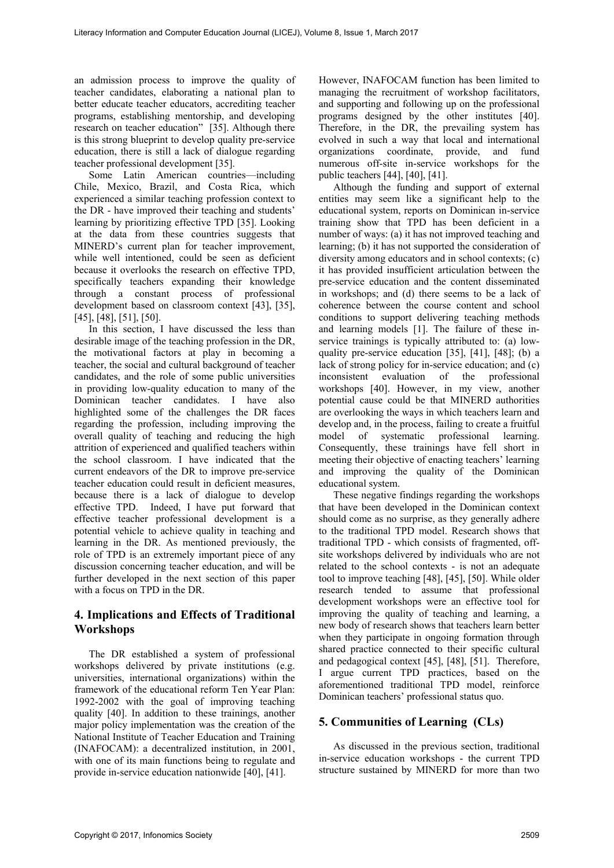an admission process to improve the quality of teacher candidates, elaborating a national plan to better educate teacher educators, accrediting teacher programs, establishing mentorship, and developing research on teacher education" [35]. Although there is this strong blueprint to develop quality pre-service education, there is still a lack of dialogue regarding teacher professional development [35].

Some Latin American countries—including Chile, Mexico, Brazil, and Costa Rica, which experienced a similar teaching profession context to the DR - have improved their teaching and students' learning by prioritizing effective TPD [35]. Looking at the data from these countries suggests that MINERD's current plan for teacher improvement, while well intentioned, could be seen as deficient because it overlooks the research on effective TPD, specifically teachers expanding their knowledge through a constant process of professional development based on classroom context [43], [35], [45], [48], [51], [50].

In this section, I have discussed the less than desirable image of the teaching profession in the DR, the motivational factors at play in becoming a teacher, the social and cultural background of teacher candidates, and the role of some public universities in providing low-quality education to many of the Dominican teacher candidates. I have also highlighted some of the challenges the DR faces regarding the profession, including improving the overall quality of teaching and reducing the high attrition of experienced and qualified teachers within the school classroom. I have indicated that the current endeavors of the DR to improve pre-service teacher education could result in deficient measures, because there is a lack of dialogue to develop effective TPD. Indeed, I have put forward that effective teacher professional development is a potential vehicle to achieve quality in teaching and learning in the DR. As mentioned previously, the role of TPD is an extremely important piece of any discussion concerning teacher education, and will be further developed in the next section of this paper with a focus on TPD in the DR.

## **4. Implications and Effects of Traditional Workshops**

The DR established a system of professional workshops delivered by private institutions (e.g. universities, international organizations) within the framework of the educational reform Ten Year Plan: 1992-2002 with the goal of improving teaching quality [40]. In addition to these trainings, another major policy implementation was the creation of the National Institute of Teacher Education and Training (INAFOCAM): a decentralized institution, in 2001, with one of its main functions being to regulate and provide in-service education nationwide [40], [41].

However, INAFOCAM function has been limited to managing the recruitment of workshop facilitators, and supporting and following up on the professional programs designed by the other institutes [40]. Therefore, in the DR, the prevailing system has evolved in such a way that local and international organizations coordinate, provide, and fund numerous off-site in-service workshops for the public teachers [44], [40], [41].

Although the funding and support of external entities may seem like a significant help to the educational system, reports on Dominican in-service training show that TPD has been deficient in a number of ways: (a) it has not improved teaching and learning; (b) it has not supported the consideration of diversity among educators and in school contexts; (c) it has provided insufficient articulation between the pre-service education and the content disseminated in workshops; and (d) there seems to be a lack of coherence between the course content and school conditions to support delivering teaching methods and learning models [1]. The failure of these inservice trainings is typically attributed to: (a) lowquality pre-service education [35], [41], [48]; (b) a lack of strong policy for in-service education; and (c) inconsistent evaluation of the professional workshops [40]. However, in my view, another potential cause could be that MINERD authorities are overlooking the ways in which teachers learn and develop and, in the process, failing to create a fruitful model of systematic professional learning. Consequently, these trainings have fell short in meeting their objective of enacting teachers' learning and improving the quality of the Dominican educational system.

These negative findings regarding the workshops that have been developed in the Dominican context should come as no surprise, as they generally adhere to the traditional TPD model. Research shows that traditional TPD - which consists of fragmented, offsite workshops delivered by individuals who are not related to the school contexts - is not an adequate tool to improve teaching [48], [45], [50]. While older research tended to assume that professional development workshops were an effective tool for improving the quality of teaching and learning, a new body of research shows that teachers learn better when they participate in ongoing formation through shared practice connected to their specific cultural and pedagogical context [45], [48], [51]. Therefore, I argue current TPD practices, based on the aforementioned traditional TPD model, reinforce Dominican teachers' professional status quo.

# **5. Communities of Learning (CLs)**

As discussed in the previous section, traditional in-service education workshops - the current TPD structure sustained by MINERD for more than two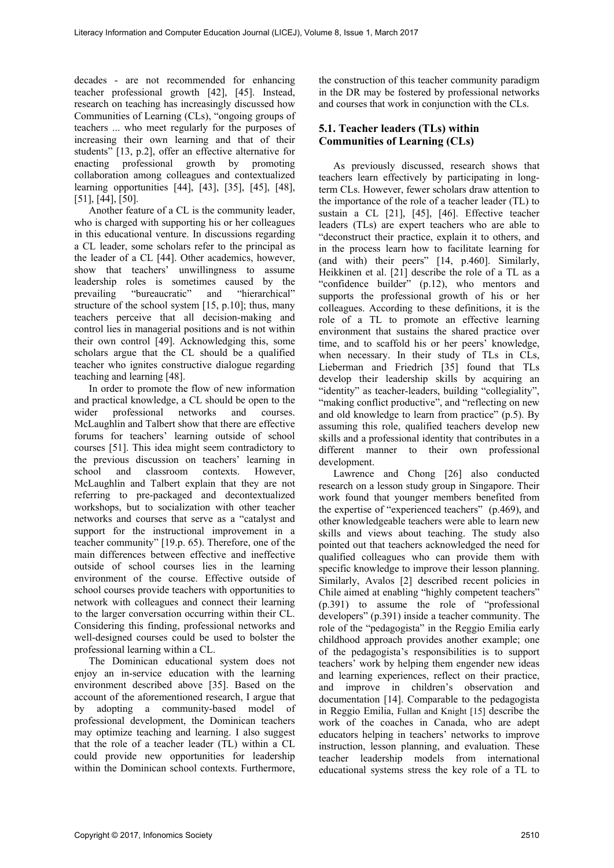decades - are not recommended for enhancing teacher professional growth [42], [45]. Instead, research on teaching has increasingly discussed how Communities of Learning (CLs), "ongoing groups of teachers ... who meet regularly for the purposes of increasing their own learning and that of their students" [13, p.2], offer an effective alternative for enacting professional growth by promoting collaboration among colleagues and contextualized learning opportunities [44], [43], [35], [45], [48], [51], [44], [50].

Another feature of a CL is the community leader, who is charged with supporting his or her colleagues in this educational venture. In discussions regarding a CL leader, some scholars refer to the principal as the leader of a CL [44]. Other academics, however, show that teachers' unwillingness to assume leadership roles is sometimes caused by the prevailing "bureaucratic" and "hierarchical" structure of the school system [15, p.10]; thus, many teachers perceive that all decision-making and control lies in managerial positions and is not within their own control [49]. Acknowledging this, some scholars argue that the CL should be a qualified teacher who ignites constructive dialogue regarding teaching and learning [48].

In order to promote the flow of new information and practical knowledge, a CL should be open to the wider professional networks and courses. McLaughlin and Talbert show that there are effective forums for teachers' learning outside of school courses [51]. This idea might seem contradictory to the previous discussion on teachers' learning in school and classroom contexts. However, McLaughlin and Talbert explain that they are not referring to pre-packaged and decontextualized workshops, but to socialization with other teacher networks and courses that serve as a "catalyst and support for the instructional improvement in a teacher community" [19.p. 65). Therefore, one of the main differences between effective and ineffective outside of school courses lies in the learning environment of the course. Effective outside of school courses provide teachers with opportunities to network with colleagues and connect their learning to the larger conversation occurring within their CL. Considering this finding, professional networks and well-designed courses could be used to bolster the professional learning within a CL.

The Dominican educational system does not enjoy an in-service education with the learning environment described above [35]. Based on the account of the aforementioned research, I argue that by adopting a community-based model of professional development, the Dominican teachers may optimize teaching and learning. I also suggest that the role of a teacher leader (TL) within a CL could provide new opportunities for leadership within the Dominican school contexts. Furthermore, the construction of this teacher community paradigm in the DR may be fostered by professional networks and courses that work in conjunction with the CLs.

### **5.1. Teacher leaders (TLs) within Communities of Learning (CLs)**

As previously discussed, research shows that teachers learn effectively by participating in longterm CLs. However, fewer scholars draw attention to the importance of the role of a teacher leader (TL) to sustain a CL [21], [45], [46]. Effective teacher leaders (TLs) are expert teachers who are able to "deconstruct their practice, explain it to others, and in the process learn how to facilitate learning for (and with) their peers" [14, p.460]. Similarly, Heikkinen et al. [21] describe the role of a TL as a "confidence builder" (p.12), who mentors and supports the professional growth of his or her colleagues. According to these definitions, it is the role of a TL to promote an effective learning environment that sustains the shared practice over time, and to scaffold his or her peers' knowledge, when necessary. In their study of TLs in CLs, Lieberman and Friedrich [35] found that TLs develop their leadership skills by acquiring an "identity" as teacher-leaders, building "collegiality", "making conflict productive", and "reflecting on new and old knowledge to learn from practice" (p.5). By assuming this role, qualified teachers develop new skills and a professional identity that contributes in a different manner to their own professional development.

Lawrence and Chong [26] also conducted research on a lesson study group in Singapore. Their work found that younger members benefited from the expertise of "experienced teachers" (p.469), and other knowledgeable teachers were able to learn new skills and views about teaching. The study also pointed out that teachers acknowledged the need for qualified colleagues who can provide them with specific knowledge to improve their lesson planning. Similarly, Avalos [2] described recent policies in Chile aimed at enabling "highly competent teachers" (p.391) to assume the role of "professional developers" (p.391) inside a teacher community. The role of the "pedagogista" in the Reggio Emilia early childhood approach provides another example; one of the pedagogista's responsibilities is to support teachers' work by helping them engender new ideas and learning experiences, reflect on their practice, and improve in children's observation and documentation [14]. Comparable to the pedagogista in Reggio Emilia, Fullan and Knight [15] describe the work of the coaches in Canada, who are adept educators helping in teachers' networks to improve instruction, lesson planning, and evaluation. These teacher leadership models from international educational systems stress the key role of a TL to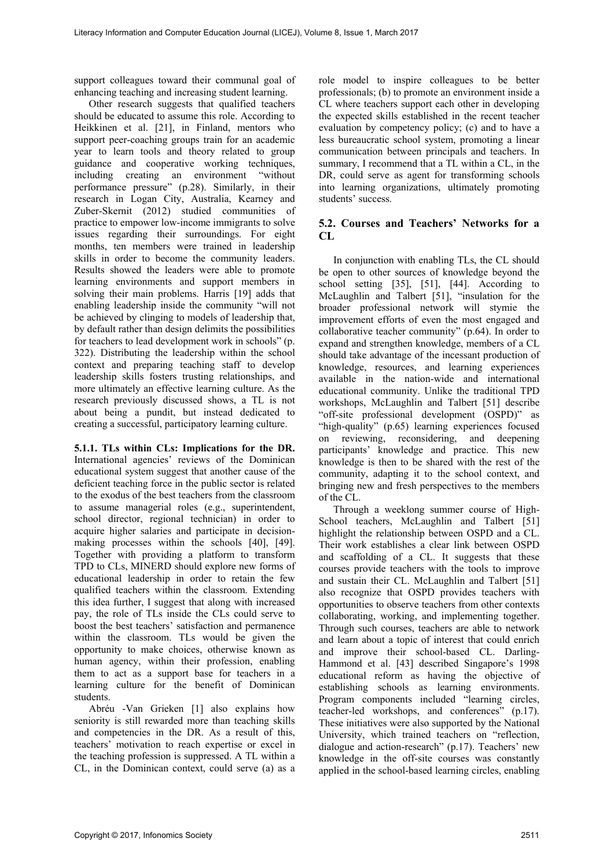support colleagues toward their communal goal of enhancing teaching and increasing student learning.

Other research suggests that qualified teachers should be educated to assume this role. According to Heikkinen et al. [21], in Finland, mentors who support peer-coaching groups train for an academic year to learn tools and theory related to group guidance and cooperative working techniques, including creating an environment "without performance pressure" (p.28). Similarly, in their research in Logan City, Australia, Kearney and Zuber-Skernit (2012) studied communities of practice to empower low-income immigrants to solve issues regarding their surroundings. For eight months, ten members were trained in leadership skills in order to become the community leaders. Results showed the leaders were able to promote learning environments and support members in solving their main problems. Harris [19] adds that enabling leadership inside the community "will not be achieved by clinging to models of leadership that, by default rather than design delimits the possibilities for teachers to lead development work in schools" (p. 322). Distributing the leadership within the school context and preparing teaching staff to develop leadership skills fosters trusting relationships, and more ultimately an effective learning culture. As the research previously discussed shows, a TL is not about being a pundit, but instead dedicated to creating a successful, participatory learning culture.

**5.1.1. TLs within CLs: Implications for the DR.**  International agencies' reviews of the Dominican educational system suggest that another cause of the deficient teaching force in the public sector is related to the exodus of the best teachers from the classroom to assume managerial roles (e.g., superintendent, school director, regional technician) in order to acquire higher salaries and participate in decisionmaking processes within the schools [40], [49]. Together with providing a platform to transform TPD to CLs, MINERD should explore new forms of educational leadership in order to retain the few qualified teachers within the classroom. Extending this idea further, I suggest that along with increased pay, the role of TLs inside the CLs could serve to boost the best teachers' satisfaction and permanence within the classroom. TLs would be given the opportunity to make choices, otherwise known as human agency, within their profession, enabling them to act as a support base for teachers in a learning culture for the benefit of Dominican students.

Abréu -Van Grieken [1] also explains how seniority is still rewarded more than teaching skills and competencies in the DR. As a result of this, teachers' motivation to reach expertise or excel in the teaching profession is suppressed. A TL within a CL, in the Dominican context, could serve (a) as a role model to inspire colleagues to be better professionals; (b) to promote an environment inside a CL where teachers support each other in developing the expected skills established in the recent teacher evaluation by competency policy; (c) and to have a less bureaucratic school system, promoting a linear communication between principals and teachers. In summary, I recommend that a TL within a CL, in the DR, could serve as agent for transforming schools into learning organizations, ultimately promoting students' success.

### **5.2. Courses and Teachers' Networks for a CL**

In conjunction with enabling TLs, the CL should be open to other sources of knowledge beyond the school setting [35], [51], [44]. According to McLaughlin and Talbert [51], "insulation for the broader professional network will stymie the improvement efforts of even the most engaged and collaborative teacher community" (p.64). In order to expand and strengthen knowledge, members of a CL should take advantage of the incessant production of knowledge, resources, and learning experiences available in the nation-wide and international educational community. Unlike the traditional TPD workshops, McLaughlin and Talbert [51] describe "off-site professional development (OSPD)" as "high-quality" (p.65) learning experiences focused on reviewing, reconsidering, and deepening participants' knowledge and practice. This new knowledge is then to be shared with the rest of the community, adapting it to the school context, and bringing new and fresh perspectives to the members of the CL.

Through a weeklong summer course of High-School teachers, McLaughlin and Talbert [51] highlight the relationship between OSPD and a CL. Their work establishes a clear link between OSPD and scaffolding of a CL. It suggests that these courses provide teachers with the tools to improve and sustain their CL. McLaughlin and Talbert [51] also recognize that OSPD provides teachers with opportunities to observe teachers from other contexts collaborating, working, and implementing together. Through such courses, teachers are able to network and learn about a topic of interest that could enrich and improve their school-based CL. Darling-Hammond et al. [43] described Singapore's 1998 educational reform as having the objective of establishing schools as learning environments. Program components included "learning circles, teacher-led workshops, and conferences" (p.17). These initiatives were also supported by the National University, which trained teachers on "reflection, dialogue and action-research" (p.17). Teachers' new knowledge in the off-site courses was constantly applied in the school-based learning circles, enabling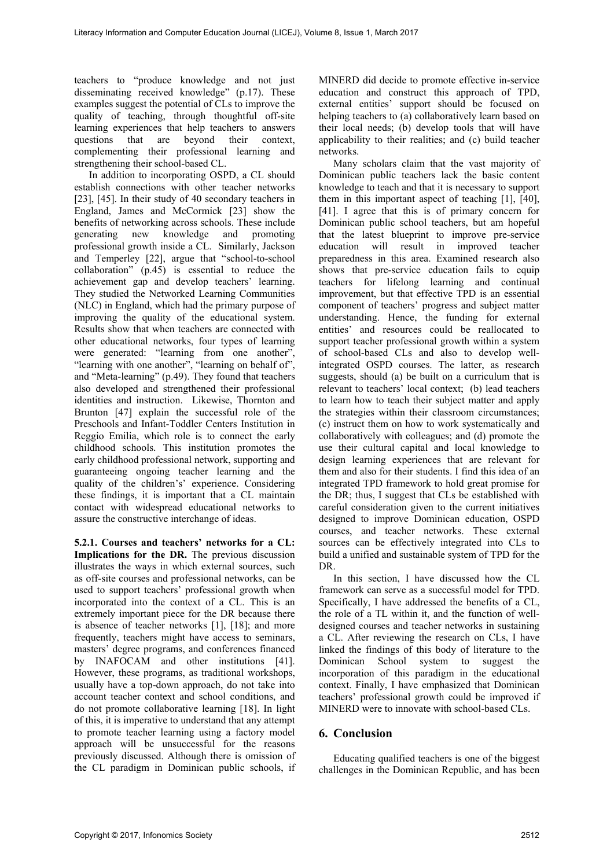teachers to "produce knowledge and not just disseminating received knowledge" (p.17). These examples suggest the potential of CLs to improve the quality of teaching, through thoughtful off-site learning experiences that help teachers to answers questions that are beyond their context, complementing their professional learning and strengthening their school-based CL.

In addition to incorporating OSPD, a CL should establish connections with other teacher networks [23], [45]. In their study of 40 secondary teachers in England, James and McCormick [23] show the benefits of networking across schools. These include generating new knowledge and promoting professional growth inside a CL. Similarly, Jackson and Temperley [22], argue that "school-to-school collaboration" (p.45) is essential to reduce the achievement gap and develop teachers' learning. They studied the Networked Learning Communities (NLC) in England, which had the primary purpose of improving the quality of the educational system. Results show that when teachers are connected with other educational networks, four types of learning were generated: "learning from one another", "learning with one another", "learning on behalf of", and "Meta-learning" (p.49). They found that teachers also developed and strengthened their professional identities and instruction. Likewise, Thornton and Brunton [47] explain the successful role of the Preschools and Infant-Toddler Centers Institution in Reggio Emilia, which role is to connect the early childhood schools. This institution promotes the early childhood professional network, supporting and guaranteeing ongoing teacher learning and the quality of the children's' experience. Considering these findings, it is important that a CL maintain contact with widespread educational networks to assure the constructive interchange of ideas.

**5.2.1. Courses and teachers' networks for a CL: Implications for the DR.** The previous discussion illustrates the ways in which external sources, such as off-site courses and professional networks, can be used to support teachers' professional growth when incorporated into the context of a CL. This is an extremely important piece for the DR because there is absence of teacher networks [1], [18]; and more frequently, teachers might have access to seminars, masters' degree programs, and conferences financed by INAFOCAM and other institutions [41]. However, these programs, as traditional workshops, usually have a top-down approach, do not take into account teacher context and school conditions, and do not promote collaborative learning [18]. In light of this, it is imperative to understand that any attempt to promote teacher learning using a factory model approach will be unsuccessful for the reasons previously discussed. Although there is omission of the CL paradigm in Dominican public schools, if

MINERD did decide to promote effective in-service education and construct this approach of TPD, external entities' support should be focused on helping teachers to (a) collaboratively learn based on their local needs; (b) develop tools that will have applicability to their realities; and (c) build teacher networks.

Many scholars claim that the vast majority of Dominican public teachers lack the basic content knowledge to teach and that it is necessary to support them in this important aspect of teaching [1], [40], [41]. I agree that this is of primary concern for Dominican public school teachers, but am hopeful that the latest blueprint to improve pre-service education will result in improved teacher preparedness in this area. Examined research also shows that pre-service education fails to equip teachers for lifelong learning and continual improvement, but that effective TPD is an essential component of teachers' progress and subject matter understanding. Hence, the funding for external entities' and resources could be reallocated to support teacher professional growth within a system of school-based CLs and also to develop wellintegrated OSPD courses. The latter, as research suggests, should (a) be built on a curriculum that is relevant to teachers' local context; (b) lead teachers to learn how to teach their subject matter and apply the strategies within their classroom circumstances; (c) instruct them on how to work systematically and collaboratively with colleagues; and (d) promote the use their cultural capital and local knowledge to design learning experiences that are relevant for them and also for their students. I find this idea of an integrated TPD framework to hold great promise for the DR; thus, I suggest that CLs be established with careful consideration given to the current initiatives designed to improve Dominican education, OSPD courses, and teacher networks. These external sources can be effectively integrated into CLs to build a unified and sustainable system of TPD for the DR.

In this section, I have discussed how the CL framework can serve as a successful model for TPD. Specifically, I have addressed the benefits of a CL, the role of a TL within it, and the function of welldesigned courses and teacher networks in sustaining a CL. After reviewing the research on CLs, I have linked the findings of this body of literature to the Dominican School system to suggest the incorporation of this paradigm in the educational context. Finally, I have emphasized that Dominican teachers' professional growth could be improved if MINERD were to innovate with school-based CLs.

#### **6. Conclusion**

Educating qualified teachers is one of the biggest challenges in the Dominican Republic, and has been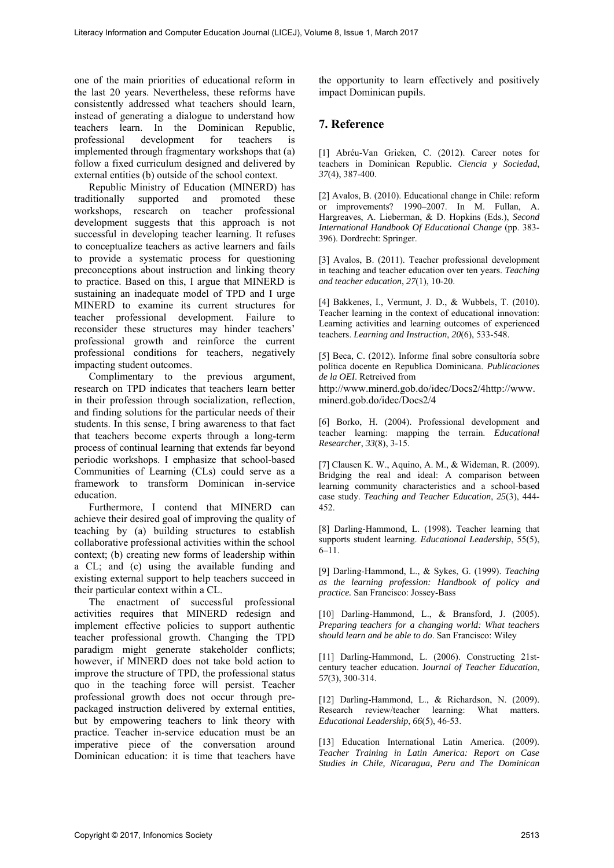one of the main priorities of educational reform in the last 20 years. Nevertheless, these reforms have consistently addressed what teachers should learn, instead of generating a dialogue to understand how teachers learn. In the Dominican Republic, professional development for teachers is implemented through fragmentary workshops that (a) follow a fixed curriculum designed and delivered by external entities (b) outside of the school context.

Republic Ministry of Education (MINERD) has traditionally supported and promoted these workshops, research on teacher professional development suggests that this approach is not successful in developing teacher learning. It refuses to conceptualize teachers as active learners and fails to provide a systematic process for questioning preconceptions about instruction and linking theory to practice. Based on this, I argue that MINERD is sustaining an inadequate model of TPD and I urge MINERD to examine its current structures for teacher professional development. Failure to reconsider these structures may hinder teachers' professional growth and reinforce the current professional conditions for teachers, negatively impacting student outcomes.

Complimentary to the previous argument, research on TPD indicates that teachers learn better in their profession through socialization, reflection, and finding solutions for the particular needs of their students. In this sense, I bring awareness to that fact that teachers become experts through a long-term process of continual learning that extends far beyond periodic workshops. I emphasize that school-based Communities of Learning (CLs) could serve as a framework to transform Dominican in-service education.

Furthermore, I contend that MINERD can achieve their desired goal of improving the quality of teaching by (a) building structures to establish collaborative professional activities within the school context; (b) creating new forms of leadership within a CL; and (c) using the available funding and existing external support to help teachers succeed in their particular context within a CL.

The enactment of successful professional activities requires that MINERD redesign and implement effective policies to support authentic teacher professional growth. Changing the TPD paradigm might generate stakeholder conflicts; however, if MINERD does not take bold action to improve the structure of TPD, the professional status quo in the teaching force will persist. Teacher professional growth does not occur through prepackaged instruction delivered by external entities, but by empowering teachers to link theory with practice. Teacher in-service education must be an imperative piece of the conversation around Dominican education: it is time that teachers have the opportunity to learn effectively and positively impact Dominican pupils.

### **7. Reference**

[1] Abréu-Van Grieken, C. (2012). Career notes for teachers in Dominican Republic. *Ciencia y Sociedad*, *37*(4), 387-400.

[2] Avalos, B. (2010). Educational change in Chile: reform or improvements? 1990–2007. In M. Fullan, A. Hargreaves, A. Lieberman, & D. Hopkins (Eds.), *Second International Handbook Of Educational Change* (pp. 383- 396). Dordrecht: Springer.

[3] Avalos, B. (2011). Teacher professional development in teaching and teacher education over ten years. *Teaching and teacher education*, *27*(1), 10-20.

[4] Bakkenes, I., Vermunt, J. D., & Wubbels, T. (2010). Teacher learning in the context of educational innovation: Learning activities and learning outcomes of experienced teachers. *Learning and Instruction*, *20*(6), 533-548.

[5] Beca, C. (2012). Informe final sobre consultoría sobre política docente en Republica Dominicana. *Publicaciones de la OEI*. Retreived from

http://www.minerd.gob.do/idec/Docs2/4http://www. minerd.gob.do/idec/Docs2/4

[6] Borko, H. (2004). Professional development and teacher learning: mapping the terrain. *Educational Researcher*, *33*(8), 3-15.

[7] Clausen K. W., Aquino, A. M., & Wideman, R. (2009). Bridging the real and ideal: A comparison between learning community characteristics and a school-based case study. *Teaching and Teacher Education*, *25*(3), 444- 452.

[8] Darling-Hammond, L. (1998). Teacher learning that supports student learning. *Educational Leadership*, 55(5), 6–11.

[9] Darling-Hammond, L., & Sykes, G. (1999). *Teaching as the learning profession: Handbook of policy and practice.* San Francisco: Jossey-Bass

[10] Darling-Hammond, L., & Bransford, J. (2005). *Preparing teachers for a changing world: What teachers should learn and be able to do*. San Francisco: Wiley

[11] Darling-Hammond, L. (2006). Constructing 21stcentury teacher education. J*ournal of Teacher Education*, *57*(3), 300-314.

[12] Darling-Hammond, L., & Richardson, N. (2009). Research review/teacher learning: What matters. *Educational Leadership*, *66*(5), 46-53.

[13] Education International Latin America. (2009). *Teacher Training in Latin America: Report on Case Studies in Chile, Nicaragua, Peru and The Dominican*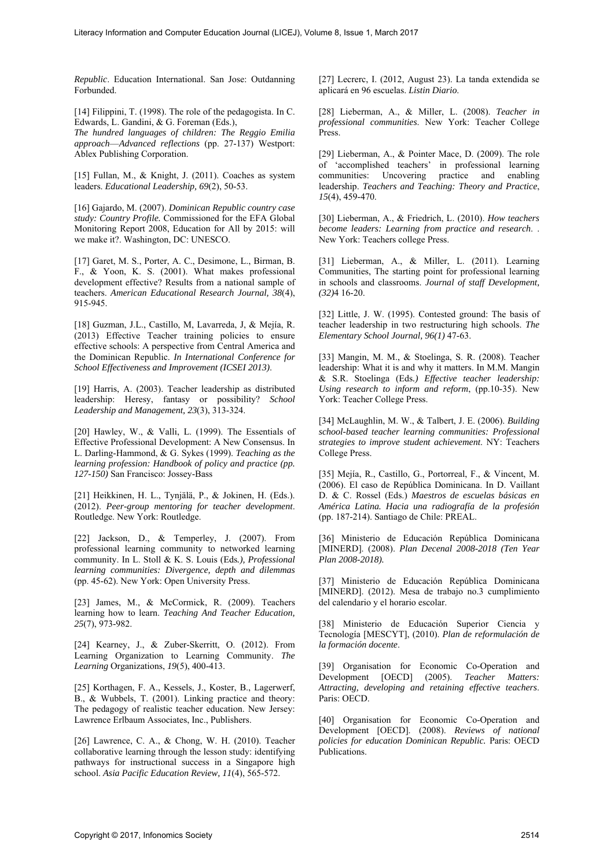*Republic*. Education International. San Jose: Outdanning Forbunded.

[14] Filippini, T. (1998). The role of the pedagogista. In C. Edwards, L. Gandini, & G. Foreman (Eds.),

*The hundred languages of children: The Reggio Emilia approach*—*Advanced reflections* (pp. 27-137) Westport: Ablex Publishing Corporation.

[15] Fullan, M., & Knight, J. (2011). Coaches as system leaders. *Educational Leadership, 69*(2), 50-53.

[16] Gajardo, M. (2007). *Dominican Republic country case study: Country Profile.* Commissioned for the EFA Global Monitoring Report 2008, Education for All by 2015: will we make it?. Washington, DC: UNESCO.

[17] Garet, M. S., Porter, A. C., Desimone, L., Birman, B. F., & Yoon, K. S. (2001). What makes professional development effective? Results from a national sample of teachers. *American Educational Research Journal, 38*(4), 915-945.

[18] Guzman, J.L., Castillo, M, Lavarreda, J, & Mejía, R. (2013) Effective Teacher training policies to ensure effective schools: A perspective from Central America and the Dominican Republic. *In International Conference for School Effectiveness and Improvement (ICSEI 2013)*.

[19] Harris, A. (2003). Teacher leadership as distributed leadership: Heresy, fantasy or possibility? *School Leadership and Management, 23*(3), 313-324.

[20] Hawley, W., & Valli, L. (1999). The Essentials of Effective Professional Development: A New Consensus. In L. Darling-Hammond, & G. Sykes (1999). *Teaching as the learning profession: Handbook of policy and practice (pp. 127-150)* San Francisco: Jossey-Bass

[21] Heikkinen, H. L., Tynjälä, P., & Jokinen, H. (Eds.). (2012). *Peer-group mentoring for teacher development*. Routledge. New York: Routledge.

[22] Jackson, D., & Temperley, J. (2007). From professional learning community to networked learning community. In L. Stoll & K. S. Louis (Eds*.), Professional learning communities: Divergence, depth and dilemmas* (pp. 45-62). New York: Open University Press.

[23] James, M., & McCormick, R. (2009). Teachers learning how to learn. *Teaching And Teacher Education, 25*(7), 973-982.

[24] Kearney, J., & Zuber-Skerritt, O. (2012). From Learning Organization to Learning Community. *The Learning* Organizations, *19*(5), 400-413.

[25] Korthagen, F. A., Kessels, J., Koster, B., Lagerwerf, B., & Wubbels, T. (2001). Linking practice and theory: The pedagogy of realistic teacher education. New Jersey: Lawrence Erlbaum Associates, Inc., Publishers.

[26] Lawrence, C. A., & Chong, W. H. (2010). Teacher collaborative learning through the lesson study: identifying pathways for instructional success in a Singapore high school. *Asia Pacific Education Review, 11*(4), 565-572.

[27] Lecrerc, I. (2012, August 23). La tanda extendida se aplicará en 96 escuelas. *Listin Diario*.

[28] Lieberman, A., & Miller, L. (2008). *Teacher in professional communities*. New York: Teacher College Press.

[29] Lieberman, A., & Pointer Mace, D. (2009). The role of 'accomplished teachers' in professional learning communities: Uncovering practice and enabling leadership. *Teachers and Teaching: Theory and Practice*, *15*(4), 459-470.

[30] Lieberman, A., & Friedrich, L. (2010). *How teachers become leaders: Learning from practice and research*. . New York: Teachers college Press.

[31] Lieberman, A., & Miller, L. (2011). Learning Communities, The starting point for professional learning in schools and classrooms. *Journal of staff Development, (32)*4 16-20.

[32] Little, J. W. (1995). Contested ground: The basis of teacher leadership in two restructuring high schools. *The Elementary School Journal, 96(1)* 47-63.

[33] Mangin, M. M., & Stoelinga, S. R. (2008). Teacher leadership: What it is and why it matters. In M.M. Mangin & S.R. Stoelinga (Eds*.) Effective teacher leadership: Using research to inform and reform*, (pp.10-35). New York: Teacher College Press.

[34] McLaughlin, M. W., & Talbert, J. E. (2006). *Building school-based teacher learning communities: Professional strategies to improve student achievement*. NY: Teachers College Press.

[35] Mejía, R., Castillo, G., Portorreal, F., & Vincent, M. (2006). El caso de República Dominicana. In D. Vaillant D. & C. Rossel (Eds.) *Maestros de escuelas básicas en América Latina. Hacia una radiografía de la profesión*  (pp. 187-214). Santiago de Chile: PREAL.

[36] Ministerio de Educación República Dominicana [MINERD]. (2008). *Plan Decenal 2008-2018 (Ten Year Plan 2008-2018).*

[37] Ministerio de Educación República Dominicana [MINERD]. (2012). Mesa de trabajo no.3 cumplimiento del calendario y el horario escolar.

[38] Ministerio de Educación Superior Ciencia y Tecnología [MESCYT], (2010). *Plan de reformulación de la formación docente*.

[39] Organisation for Economic Co-Operation and Development [OECD] (2005). *Teacher Matters: Attracting, developing and retaining effective teachers*. Paris: OECD.

[40] Organisation for Economic Co-Operation and Development [OECD]. (2008). *Reviews of national policies for education Dominican Republic.* Paris: OECD Publications.